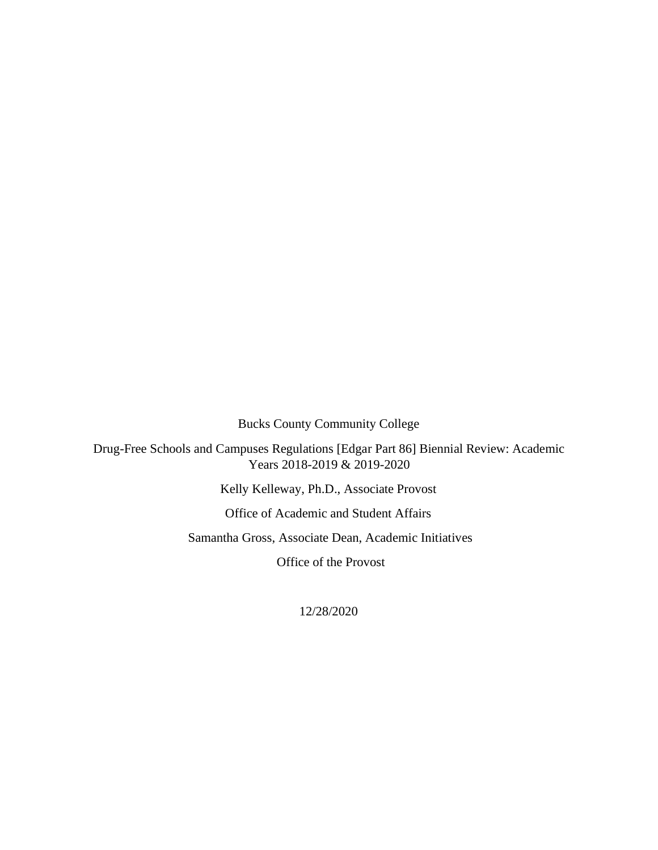Bucks County Community College

Drug-Free Schools and Campuses Regulations [Edgar Part 86] Biennial Review: Academic Years 2018-2019 & 2019-2020

Kelly Kelleway, Ph.D., Associate Provost

Office of Academic and Student Affairs

Samantha Gross, Associate Dean, Academic Initiatives

Office of the Provost

12/28/2020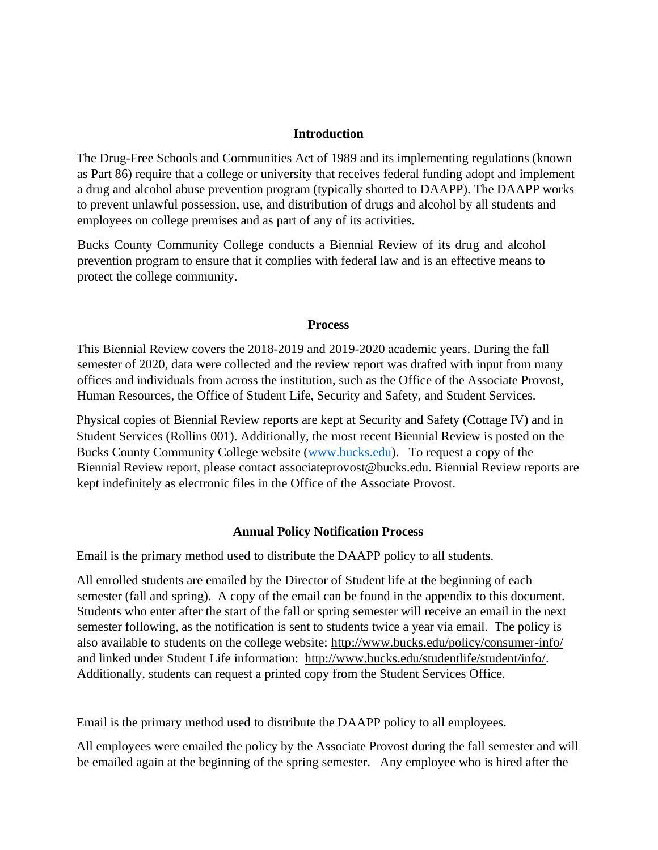## **Introduction**

The Drug-Free Schools and Communities Act of 1989 and its implementing regulations (known as Part 86) require that a college or university that receives federal funding adopt and implement a drug and alcohol abuse prevention program (typically shorted to DAAPP). The DAAPP works to prevent unlawful possession, use, and distribution of drugs and alcohol by all students and employees on college premises and as part of any of its activities.

Bucks County Community College conducts a Biennial Review of its drug and alcohol prevention program to ensure that it complies with federal law and is an effective means to protect the college community.

### **Process**

This Biennial Review covers the 2018-2019 and 2019-2020 academic years. During the fall semester of 2020, data were collected and the review report was drafted with input from many offices and individuals from across the institution, such as the Office of the Associate Provost, Human Resources, the Office of Student Life, Security and Safety, and Student Services.

Physical copies of Biennial Review reports are kept at Security and Safety (Cottage IV) and in Student Services (Rollins 001). Additionally, the most recent Biennial Review is posted on the Bucks County Community College website [\(www.bucks.edu\).](http://www.bucks.edu/) To request a copy of the Biennial Review report, please contact associateprovost@bucks.edu. Biennial Review reports are kept indefinitely as electronic files in the Office of the Associate Provost.

### **Annual Policy Notification Process**

Email is the primary method used to distribute the DAAPP policy to all students.

All enrolled students are emailed by the Director of Student life at the beginning of each semester (fall and spring). A copy of the email can be found in the appendix to this document. Students who enter after the start of the fall or spring semester will receive an email in the next semester following, as the notification is sent to students twice a year via email. The policy is also available to students on the college website: <http://www.bucks.edu/policy/consumer-info/> and linked under Student Life information: [http://www.bucks.edu/studentlife/student/info/.](http://www.bucks.edu/studentlife/student/info/)  Additionally, students can request a printed copy from the Student Services Office.

Email is the primary method used to distribute the DAAPP policy to all employees.

All employees were emailed the policy by the Associate Provost during the fall semester and will be emailed again at the beginning of the spring semester. Any employee who is hired after the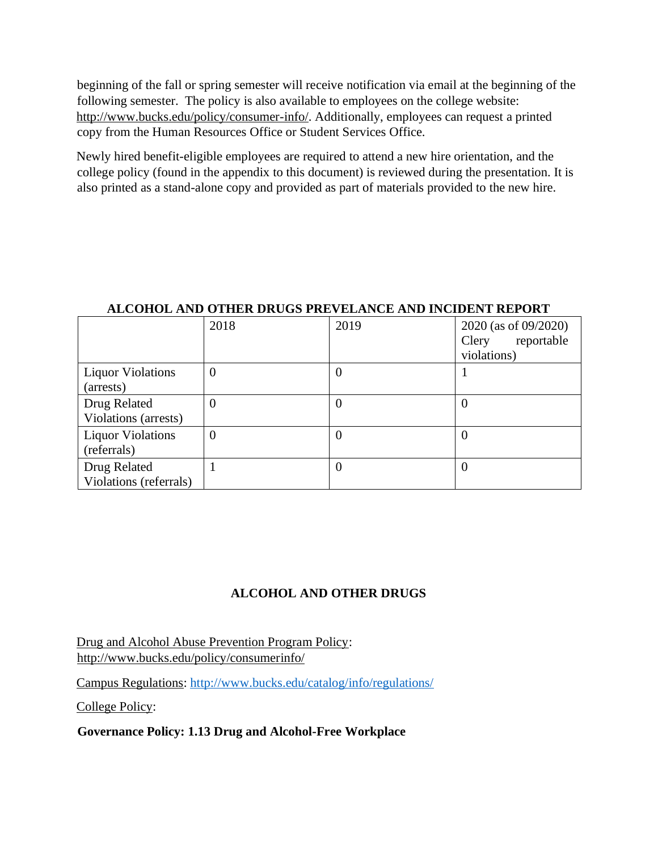beginning of the fall or spring semester will receive notification via email at the beginning of the following semester. The policy is also available to employees on the college website: [http://www.bucks.edu/policy/consumer-info/.](http://www.bucks.edu/policy/consumer-info/) Additionally, employees can request a printed copy from the Human Resources Office or Student Services Office.

Newly hired benefit-eligible employees are required to attend a new hire orientation, and the college policy (found in the appendix to this document) is reviewed during the presentation. It is also printed as a stand-alone copy and provided as part of materials provided to the new hire.

|                                         | 2018           | 2019           | 2020 (as of 09/2020)<br>reportable<br>Clery<br>violations) |
|-----------------------------------------|----------------|----------------|------------------------------------------------------------|
| <b>Liquor Violations</b><br>(arrests)   | $\overline{0}$ | $\theta$       |                                                            |
| Drug Related<br>Violations (arrests)    | 0              | $\theta$       | $\boldsymbol{0}$                                           |
| <b>Liquor Violations</b><br>(referrals) | 0              | $\theta$       | $\Omega$                                                   |
| Drug Related<br>Violations (referrals)  |                | $\overline{0}$ | 0                                                          |

## **ALCOHOL AND OTHER DRUGS PREVELANCE AND INCIDENT REPORT**

## **ALCOHOL AND OTHER DRUGS**

Drug and Alcohol Abuse Prevention Program Policy: [http://www.bucks.edu/policy/consumerinfo/](http://www.bucks.edu/policy/consumer-info/)

Campus Regulations:<http://www.bucks.edu/catalog/info/regulations/>

College Policy:

**Governance Policy: 1.13 Drug and Alcohol-Free Workplace**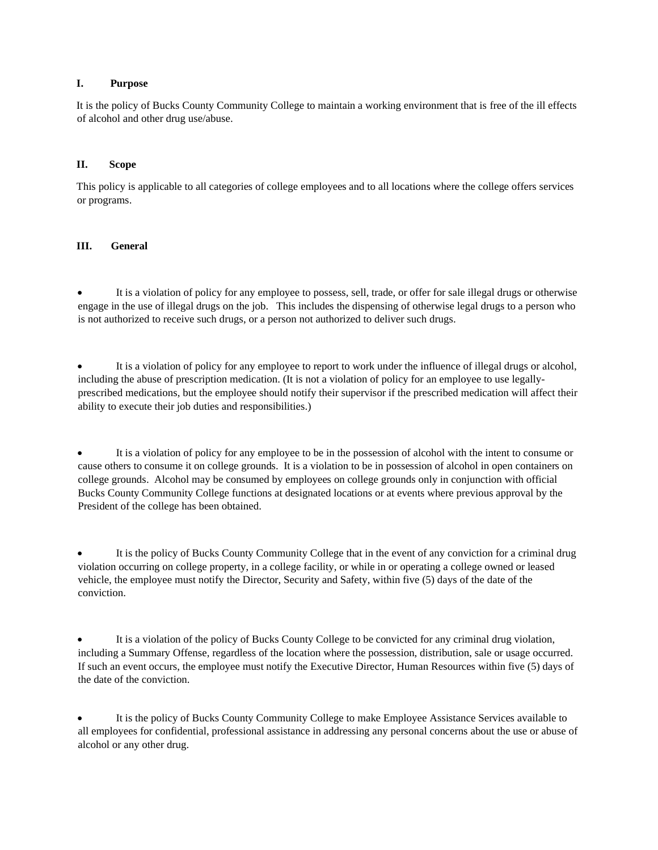### **I. Purpose**

It is the policy of Bucks County Community College to maintain a working environment that is free of the ill effects of alcohol and other drug use/abuse.

### **II. Scope**

This policy is applicable to all categories of college employees and to all locations where the college offers services or programs.

### **III. General**

It is a violation of policy for any employee to possess, sell, trade, or offer for sale illegal drugs or otherwise engage in the use of illegal drugs on the job. This includes the dispensing of otherwise legal drugs to a person who is not authorized to receive such drugs, or a person not authorized to deliver such drugs.

It is a violation of policy for any employee to report to work under the influence of illegal drugs or alcohol, including the abuse of prescription medication. (It is not a violation of policy for an employee to use legallyprescribed medications, but the employee should notify their supervisor if the prescribed medication will affect their ability to execute their job duties and responsibilities.)

It is a violation of policy for any employee to be in the possession of alcohol with the intent to consume or cause others to consume it on college grounds. It is a violation to be in possession of alcohol in open containers on college grounds. Alcohol may be consumed by employees on college grounds only in conjunction with official Bucks County Community College functions at designated locations or at events where previous approval by the President of the college has been obtained.

• It is the policy of Bucks County Community College that in the event of any conviction for a criminal drug violation occurring on college property, in a college facility, or while in or operating a college owned or leased vehicle, the employee must notify the Director, Security and Safety, within five (5) days of the date of the conviction.

• It is a violation of the policy of Bucks County College to be convicted for any criminal drug violation, including a Summary Offense, regardless of the location where the possession, distribution, sale or usage occurred. If such an event occurs, the employee must notify the Executive Director, Human Resources within five (5) days of the date of the conviction.

• It is the policy of Bucks County Community College to make Employee Assistance Services available to all employees for confidential, professional assistance in addressing any personal concerns about the use or abuse of alcohol or any other drug.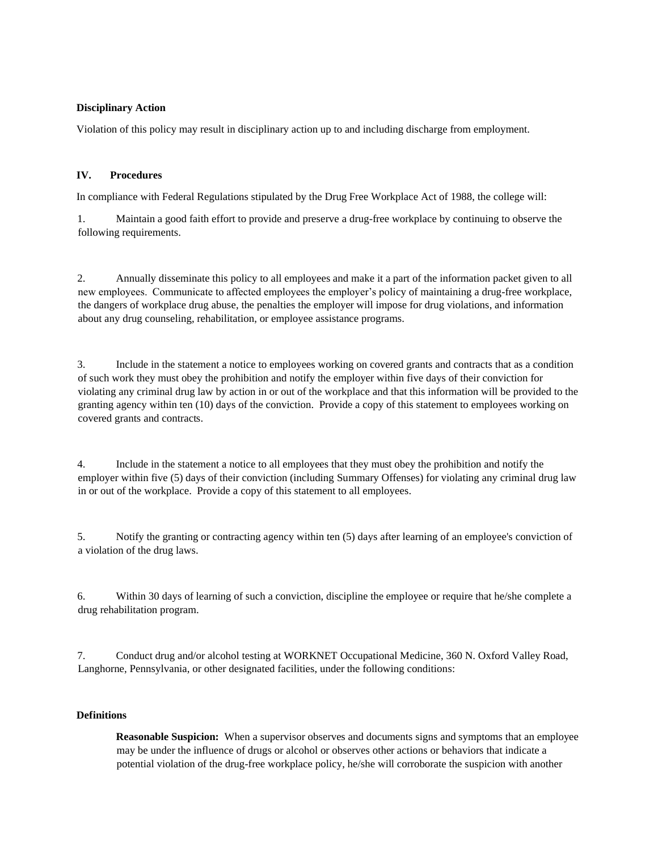### **Disciplinary Action**

Violation of this policy may result in disciplinary action up to and including discharge from employment.

### **IV. Procedures**

In compliance with Federal Regulations stipulated by the Drug Free Workplace Act of 1988, the college will:

1. Maintain a good faith effort to provide and preserve a drug-free workplace by continuing to observe the following requirements.

2. Annually disseminate this policy to all employees and make it a part of the information packet given to all new employees. Communicate to affected employees the employer's policy of maintaining a drug-free workplace, the dangers of workplace drug abuse, the penalties the employer will impose for drug violations, and information about any drug counseling, rehabilitation, or employee assistance programs.

3. Include in the statement a notice to employees working on covered grants and contracts that as a condition of such work they must obey the prohibition and notify the employer within five days of their conviction for violating any criminal drug law by action in or out of the workplace and that this information will be provided to the granting agency within ten (10) days of the conviction. Provide a copy of this statement to employees working on covered grants and contracts.

4. Include in the statement a notice to all employees that they must obey the prohibition and notify the employer within five (5) days of their conviction (including Summary Offenses) for violating any criminal drug law in or out of the workplace. Provide a copy of this statement to all employees.

5. Notify the granting or contracting agency within ten (5) days after learning of an employee's conviction of a violation of the drug laws.

6. Within 30 days of learning of such a conviction, discipline the employee or require that he/she complete a drug rehabilitation program.

7. Conduct drug and/or alcohol testing at WORKNET Occupational Medicine, 360 N. Oxford Valley Road, Langhorne, Pennsylvania, or other designated facilities, under the following conditions:

### **Definitions**

**Reasonable Suspicion:** When a supervisor observes and documents signs and symptoms that an employee may be under the influence of drugs or alcohol or observes other actions or behaviors that indicate a potential violation of the drug-free workplace policy, he/she will corroborate the suspicion with another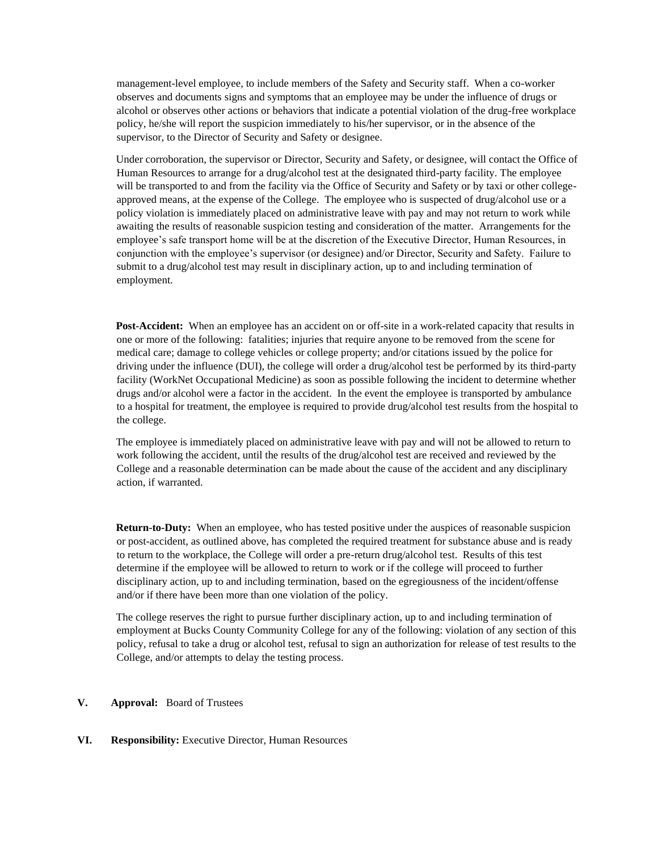management-level employee, to include members of the Safety and Security staff. When a co-worker observes and documents signs and symptoms that an employee may be under the influence of drugs or alcohol or observes other actions or behaviors that indicate a potential violation of the drug-free workplace policy, he/she will report the suspicion immediately to his/her supervisor, or in the absence of the supervisor, to the Director of Security and Safety or designee.

Under corroboration, the supervisor or Director, Security and Safety, or designee, will contact the Office of Human Resources to arrange for a drug/alcohol test at the designated third-party facility. The employee will be transported to and from the facility via the Office of Security and Safety or by taxi or other collegeapproved means, at the expense of the College. The employee who is suspected of drug/alcohol use or a policy violation is immediately placed on administrative leave with pay and may not return to work while awaiting the results of reasonable suspicion testing and consideration of the matter. Arrangements for the employee's safe transport home will be at the discretion of the Executive Director, Human Resources, in conjunction with the employee's supervisor (or designee) and/or Director, Security and Safety. Failure to submit to a drug/alcohol test may result in disciplinary action, up to and including termination of employment.

**Post-Accident:** When an employee has an accident on or off-site in a work-related capacity that results in one or more of the following: fatalities; injuries that require anyone to be removed from the scene for medical care; damage to college vehicles or college property; and/or citations issued by the police for driving under the influence (DUI), the college will order a drug/alcohol test be performed by its third-party facility (WorkNet Occupational Medicine) as soon as possible following the incident to determine whether drugs and/or alcohol were a factor in the accident. In the event the employee is transported by ambulance to a hospital for treatment, the employee is required to provide drug/alcohol test results from the hospital to the college.

The employee is immediately placed on administrative leave with pay and will not be allowed to return to work following the accident, until the results of the drug/alcohol test are received and reviewed by the College and a reasonable determination can be made about the cause of the accident and any disciplinary action, if warranted.

**Return-to-Duty:** When an employee, who has tested positive under the auspices of reasonable suspicion or post-accident, as outlined above, has completed the required treatment for substance abuse and is ready to return to the workplace, the College will order a pre-return drug/alcohol test. Results of this test determine if the employee will be allowed to return to work or if the college will proceed to further disciplinary action, up to and including termination, based on the egregiousness of the incident/offense and/or if there have been more than one violation of the policy.

The college reserves the right to pursue further disciplinary action, up to and including termination of employment at Bucks County Community College for any of the following: violation of any section of this policy, refusal to take a drug or alcohol test, refusal to sign an authorization for release of test results to the College, and/or attempts to delay the testing process.

### **V. Approval:** Board of Trustees

### **VI. Responsibility:** Executive Director, Human Resources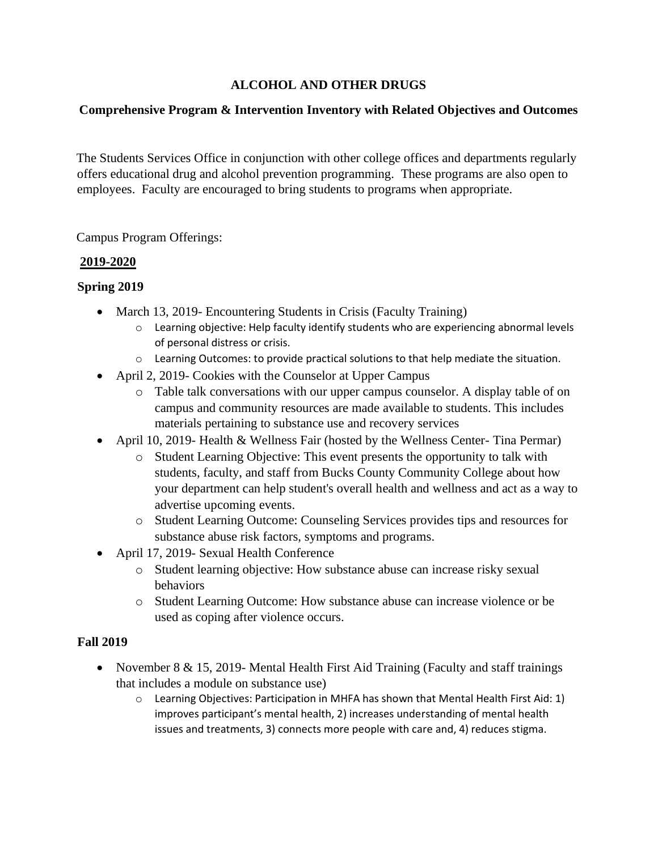## **ALCOHOL AND OTHER DRUGS**

## **Comprehensive Program & Intervention Inventory with Related Objectives and Outcomes**

The Students Services Office in conjunction with other college offices and departments regularly offers educational drug and alcohol prevention programming. These programs are also open to employees. Faculty are encouraged to bring students to programs when appropriate.

Campus Program Offerings:

## **2019-2020**

## **Spring 2019**

- March 13, 2019- Encountering Students in Crisis (Faculty Training)
	- o Learning objective: Help faculty identify students who are experiencing abnormal levels of personal distress or crisis.
	- o Learning Outcomes: to provide practical solutions to that help mediate the situation.
- April 2, 2019- Cookies with the Counselor at Upper Campus
	- o Table talk conversations with our upper campus counselor. A display table of on campus and community resources are made available to students. This includes materials pertaining to substance use and recovery services
- April 10, 2019- Health & Wellness Fair (hosted by the Wellness Center- Tina Permar)
	- o Student Learning Objective: This event presents the opportunity to talk with students, faculty, and staff from Bucks County Community College about how your department can help student's overall health and wellness and act as a way to advertise upcoming events.
	- o Student Learning Outcome: Counseling Services provides tips and resources for substance abuse risk factors, symptoms and programs.
- April 17, 2019- Sexual Health Conference
	- o Student learning objective: How substance abuse can increase risky sexual behaviors
	- o Student Learning Outcome: How substance abuse can increase violence or be used as coping after violence occurs.

## **Fall 2019**

- November 8 & 15, 2019- Mental Health First Aid Training (Faculty and staff trainings that includes a module on substance use)
	- $\circ$  Learning Objectives: Participation in MHFA has shown that Mental Health First Aid: 1) improves participant's mental health, 2) increases understanding of mental health issues and treatments, 3) connects more people with care and, 4) reduces stigma.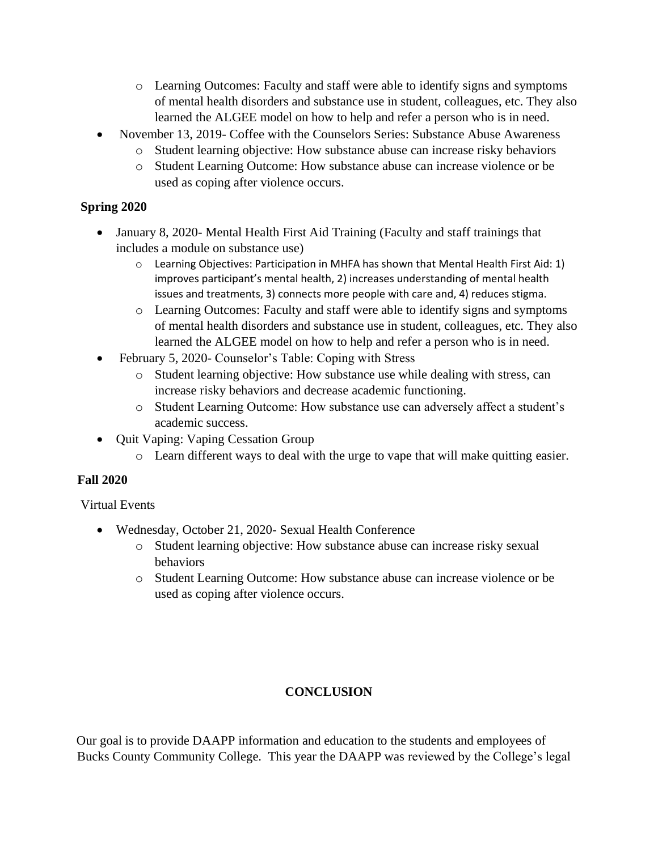- o Learning Outcomes: Faculty and staff were able to identify signs and symptoms of mental health disorders and substance use in student, colleagues, etc. They also learned the ALGEE model on how to help and refer a person who is in need.
- November 13, 2019- Coffee with the Counselors Series: Substance Abuse Awareness
	- o Student learning objective: How substance abuse can increase risky behaviors
	- o Student Learning Outcome: How substance abuse can increase violence or be used as coping after violence occurs.

## **Spring 2020**

- January 8, 2020- Mental Health First Aid Training (Faculty and staff trainings that includes a module on substance use)
	- $\circ$  Learning Objectives: Participation in MHFA has shown that Mental Health First Aid: 1) improves participant's mental health, 2) increases understanding of mental health issues and treatments, 3) connects more people with care and, 4) reduces stigma.
	- o Learning Outcomes: Faculty and staff were able to identify signs and symptoms of mental health disorders and substance use in student, colleagues, etc. They also learned the ALGEE model on how to help and refer a person who is in need.
- February 5, 2020- Counselor's Table: Coping with Stress
	- o Student learning objective: How substance use while dealing with stress, can increase risky behaviors and decrease academic functioning.
	- o Student Learning Outcome: How substance use can adversely affect a student's academic success.
- Quit Vaping: Vaping Cessation Group
	- o Learn different ways to deal with the urge to vape that will make quitting easier.

## **Fall 2020**

Virtual Events

- Wednesday, October 21, 2020- Sexual Health Conference
	- o Student learning objective: How substance abuse can increase risky sexual behaviors
	- o Student Learning Outcome: How substance abuse can increase violence or be used as coping after violence occurs.

## **CONCLUSION**

Our goal is to provide DAAPP information and education to the students and employees of Bucks County Community College. This year the DAAPP was reviewed by the College's legal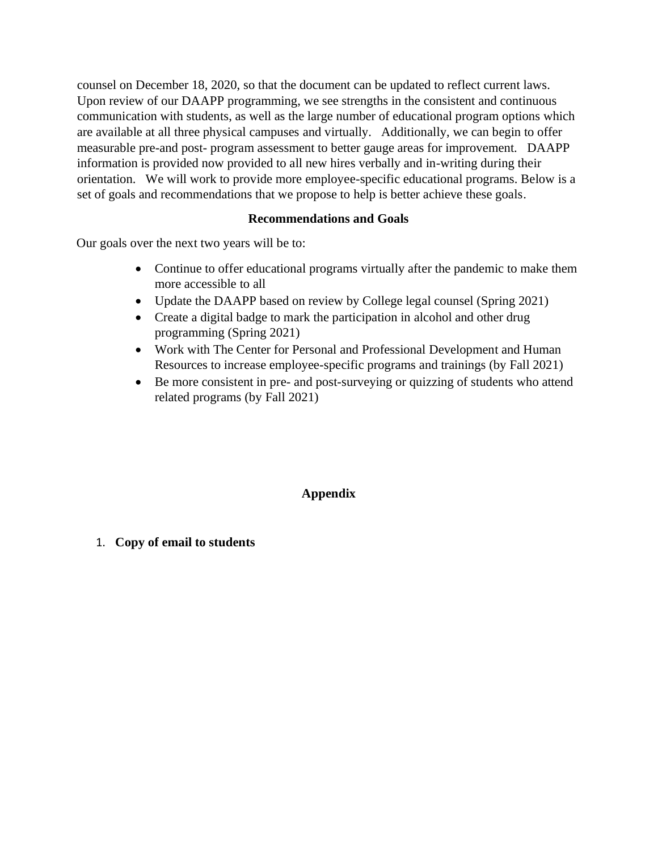counsel on December 18, 2020, so that the document can be updated to reflect current laws. Upon review of our DAAPP programming, we see strengths in the consistent and continuous communication with students, as well as the large number of educational program options which are available at all three physical campuses and virtually. Additionally, we can begin to offer measurable pre-and post- program assessment to better gauge areas for improvement. DAAPP information is provided now provided to all new hires verbally and in-writing during their orientation. We will work to provide more employee-specific educational programs. Below is a set of goals and recommendations that we propose to help is better achieve these goals.

## **Recommendations and Goals**

Our goals over the next two years will be to:

- Continue to offer educational programs virtually after the pandemic to make them more accessible to all
- Update the DAAPP based on review by College legal counsel (Spring 2021)
- Create a digital badge to mark the participation in alcohol and other drug programming (Spring 2021)
- Work with The Center for Personal and Professional Development and Human Resources to increase employee-specific programs and trainings (by Fall 2021)
- Be more consistent in pre- and post-surveying or quizzing of students who attend related programs (by Fall 2021)

## **Appendix**

1. **Copy of email to students**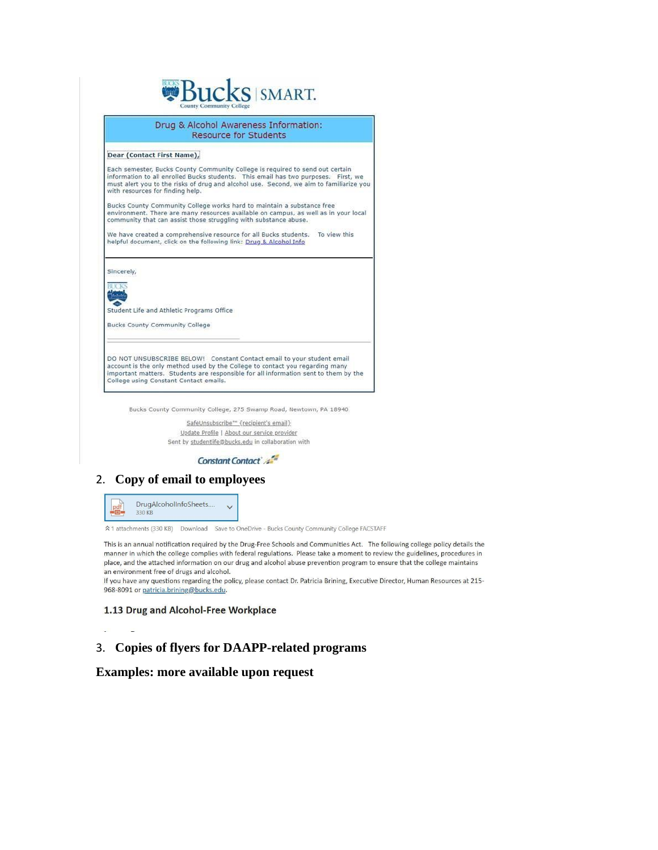

Drug & Alcohol Awareness Information: Resource for Students

#### Dear (Contact First Name),

Each semester, Bucks County Community College is required to send out certain<br>information to all enrolled Bucks students. This email has two purposes. First, we<br>must alert you to the risks of drug and alcohol use. Second, with resources for finding help.

Bucks County Community College works hard to maintain a substance free environment. There are many resources available on campus, as well as in your local community that can assist those struggling with substance abuse.

We have created a comprehensive resource for all Bucks students. To view this helpful document, click on the following link: Drug & Alcohol Info

Sincerely,



Student Life and Athletic Programs Office

**Bucks County Community College** 

DO NOT UNSUBSCRIBE BELOW! Constant Contact email to your student email Do NOT UNIVERSIDE BELOWITY CUISIGN TO CONTROL ACCOUNT IS the only method used by the College to contact you regarding many important matters. Students are responsible for all information sent to them by the College using C

Bucks County Community College, 275 Swamp Road, Newtown, PA 18940.

SafeUnsubscribe\*" {recipient's email} Update Profile | About our service provider Sent by studentlife@bucks.edu in collaboration with

Constant Contact

### 2. Copy of email to employees



A 1 attachments (330 KB) Download Save to OneDrive - Bucks County Community College FACSTAFF

This is an annual notification required by the Drug-Free Schools and Communities Act. The following college policy details the manner in which the college complies with federal regulations. Please take a moment to review the guidelines, procedures in place, and the attached information on our drug and alcohol abuse prevention program to ensure that the college maintains an environment free of drugs and alcohol.

If you have any questions regarding the policy, please contact Dr. Patricia Brining, Executive Director, Human Resources at 215-968-8091 or patricia.brining@bucks.edu.

### 1.13 Drug and Alcohol-Free Workplace

## 3. Copies of flyers for DAAPP-related programs

### Examples: more available upon request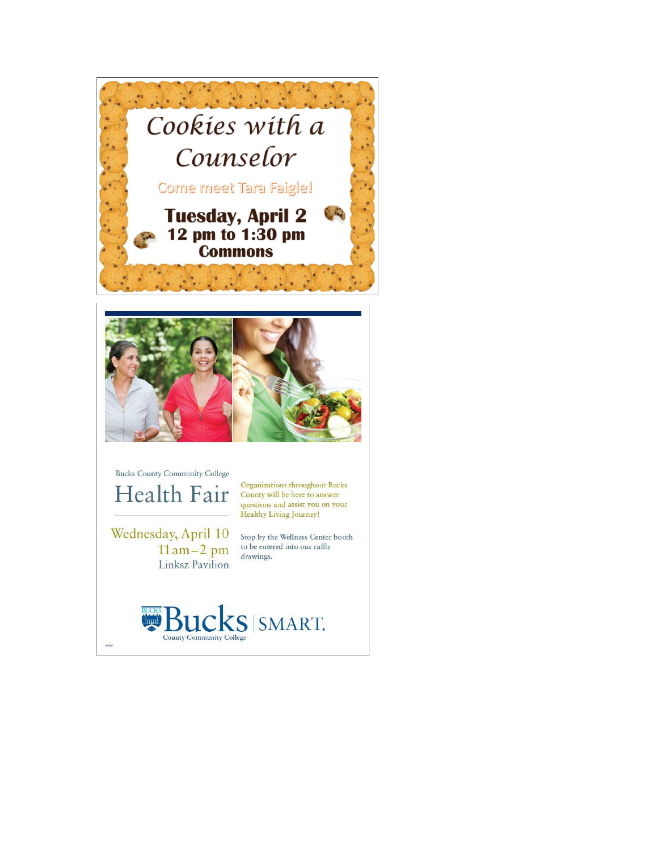



**Bucks County Community College** Health Fair

Organizations throughout Bucks County will be here to answer questions and assist you on your Healthy Living Journey!

Wednesday, April 10  $11$  am $-2$  pm Linksz Pavilion

Stop by the Wellness Center booth to be entered into our raffle drawings.

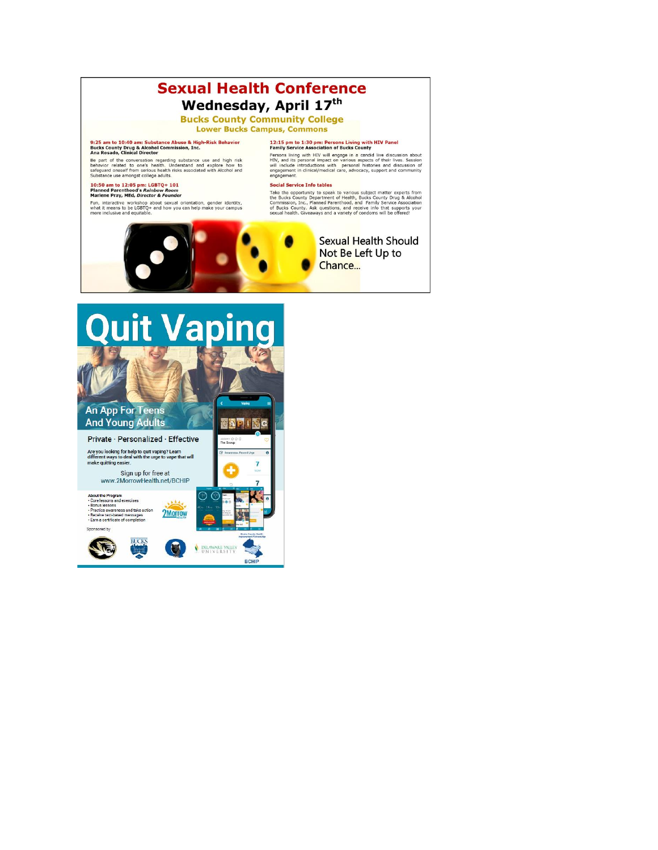## **Sexual Health Conference** Wednesday, April 17th

**Bucks County Community College Lower Bucks Campus, Commons** 

## 9:25 am to 10:40 am: Substance Abuse & High-Risk Behavior<br>Bucks County Drug & Alcohol Commission, Inc.<br>Ana Rosado, Clinical Director

Be part of the conversation regarding substance use and high risk behavior related to one's health. Understand and explore how to safeguard oneself from serious health risks associated with Alcohol and Substance use amongs

# 10:50 am to 12:05 pm: LGBTQ+ 101<br>Planned Parenthood's Rainbow Room<br>Marlene Pray, MEd, Director & Founder

Fun, interactive workshop about sexual orientation, gender identity, what it means to be LGBTQ+ and how you can help make your campus more inclusive and equitable.

## 12:15 pm to 1:30 pm: Persons Living with HIV Panel<br>Family Service Association of Bucks County

Family Detroit Muslim and a candid live discussion about<br>Persons living with HIV will engage in a candid live discussion about<br>HIV and its persons limpact on various aspects of their lives. Session of<br>will include introduc

### **Social Service Info tables**

Social State the opportunity to speak to various subject matter experts from<br>the Bucks County Department of Health, Bucks County Drug & Alcohol<br>Commission, Inc., Planned Parenthood, and Family Service Association<br>of Bucks



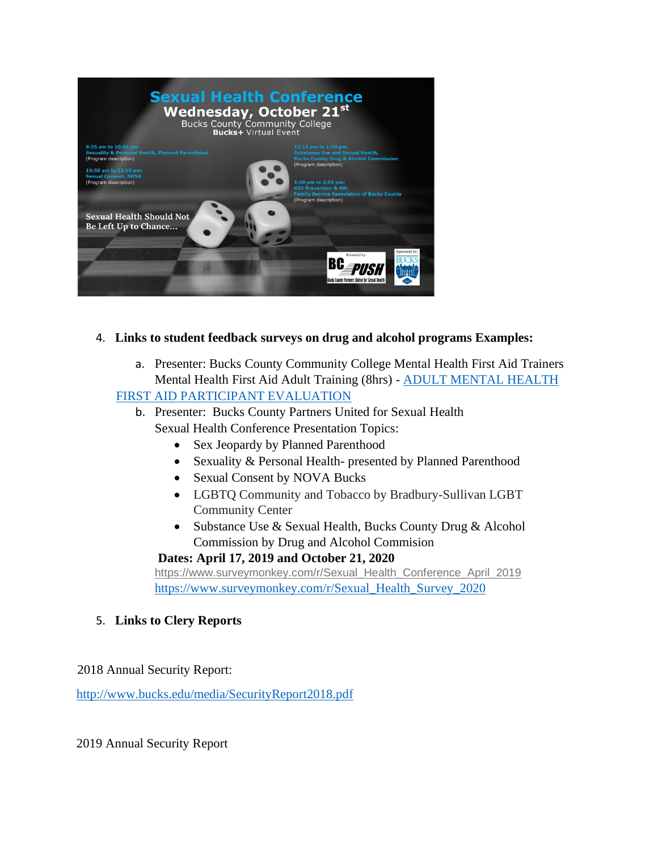

## 4. **Links to student feedback surveys on drug and alcohol programs Examples:**

a. Presenter: Bucks County Community College Mental Health First Aid Trainers Mental Health First Aid Adult Training (8hrs) - [ADULT MENTAL HEALTH](https://bucks0-my.sharepoint.com/personal/dekia_smith_bucks_edu/Documents/Dekia/Mental%20Health%20FIrst%20Aid/ADULT%20MENTAL%20HEALTH%20FIRST%20AID%20PARTICIPANT%20EVALUATION.docx)  [FIRST AID PARTICIPANT EVALUATION](https://bucks0-my.sharepoint.com/personal/dekia_smith_bucks_edu/Documents/Dekia/Mental%20Health%20FIrst%20Aid/ADULT%20MENTAL%20HEALTH%20FIRST%20AID%20PARTICIPANT%20EVALUATION.docx)

- b. Presenter: Bucks County Partners United for Sexual Health Sexual Health Conference Presentation Topics:
	- Sex Jeopardy by Planned Parenthood
	- Sexuality & Personal Health- presented by Planned Parenthood
	- Sexual Consent by NOVA Bucks
	- LGBTQ Community and Tobacco by Bradbury-Sullivan LGBT Community Center
	- Substance Use & Sexual Health, Bucks County Drug & Alcohol Commission by Drug and Alcohol Commision

## **Dates: April 17, 2019 and October 21, 2020**

[https://www.surveymonkey.com/r/Sexual\\_Health\\_Conference\\_April\\_2019](https://www.surveymonkey.com/r/Sexual_Health_Conference_April_2019) [https://www.surveymonkey.com/r/Sexual\\_Health\\_Survey\\_2020](https://www.surveymonkey.com/r/Sexual_Health_Survey_2020)

## 5. **Links to Clery Reports**

2018 Annual Security Report:

<http://www.bucks.edu/media/SecurityReport2018.pdf>

2019 Annual Security Report